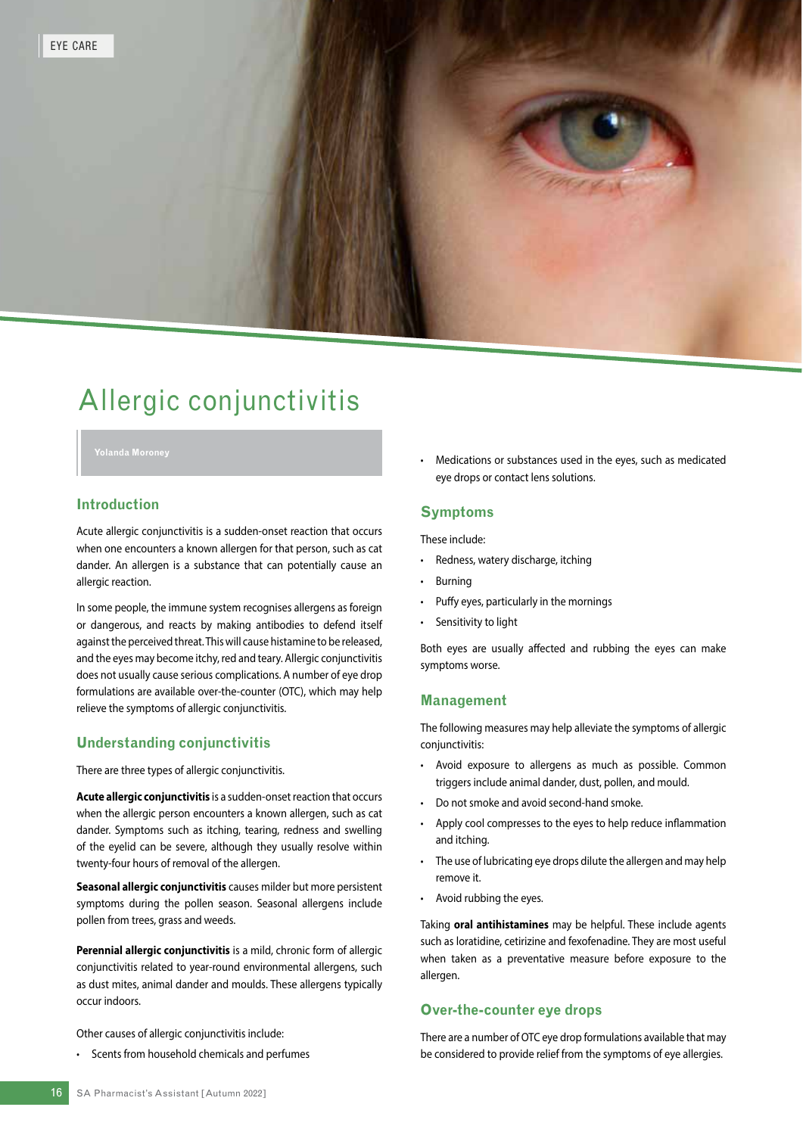# Allergic conjunctivitis

#### **Introduction**

Acute allergic conjunctivitis is a sudden-onset reaction that occurs when one encounters a known allergen for that person, such as cat dander. An allergen is a substance that can potentially cause an allergic reaction.

In some people, the immune system recognises allergens as foreign or dangerous, and reacts by making antibodies to defend itself against the perceived threat. This will cause histamine to be released, and the eyes may become itchy, red and teary. Allergic conjunctivitis does not usually cause serious complications. A number of eye drop formulations are available over-the-counter (OTC), which may help relieve the symptoms of allergic conjunctivitis.

#### **Understanding conjunctivitis**

There are three types of allergic conjunctivitis.

**Acute allergic conjunctivitis** is a sudden-onset reaction that occurs when the allergic person encounters a known allergen, such as cat dander. Symptoms such as itching, tearing, redness and swelling of the eyelid can be severe, although they usually resolve within twenty-four hours of removal of the allergen.

**Seasonal allergic conjunctivitis** causes milder but more persistent symptoms during the pollen season. Seasonal allergens include pollen from trees, grass and weeds.

**Perennial allergic conjunctivitis** is a mild, chronic form of allergic conjunctivitis related to year-round environmental allergens, such as dust mites, animal dander and moulds. These allergens typically occur indoors.

Other causes of allergic conjunctivitis include:

Scents from household chemicals and perfumes

• Medications or substances used in the eyes, such as medicated eye drops or contact lens solutions.

#### **Symptoms**

These include:

- Redness, watery discharge, itching
- Burning
- Puffy eyes, particularly in the mornings
- Sensitivity to light

Both eyes are usually affected and rubbing the eyes can make symptoms worse.

#### **Management**

The following measures may help alleviate the symptoms of allergic conjunctivitis:

- Avoid exposure to allergens as much as possible. Common triggers include animal dander, dust, pollen, and mould.
- Do not smoke and avoid second-hand smoke.
- Apply cool compresses to the eyes to help reduce inflammation and itching.
- The use of lubricating eye drops dilute the allergen and may help remove it.
- Avoid rubbing the eyes.

Taking **oral antihistamines** may be helpful. These include agents such as loratidine, cetirizine and fexofenadine. They are most useful when taken as a preventative measure before exposure to the allergen.

### **Over-the-counter eye drops**

There are a number of OTC eye drop formulations available that may be considered to provide relief from the symptoms of eye allergies.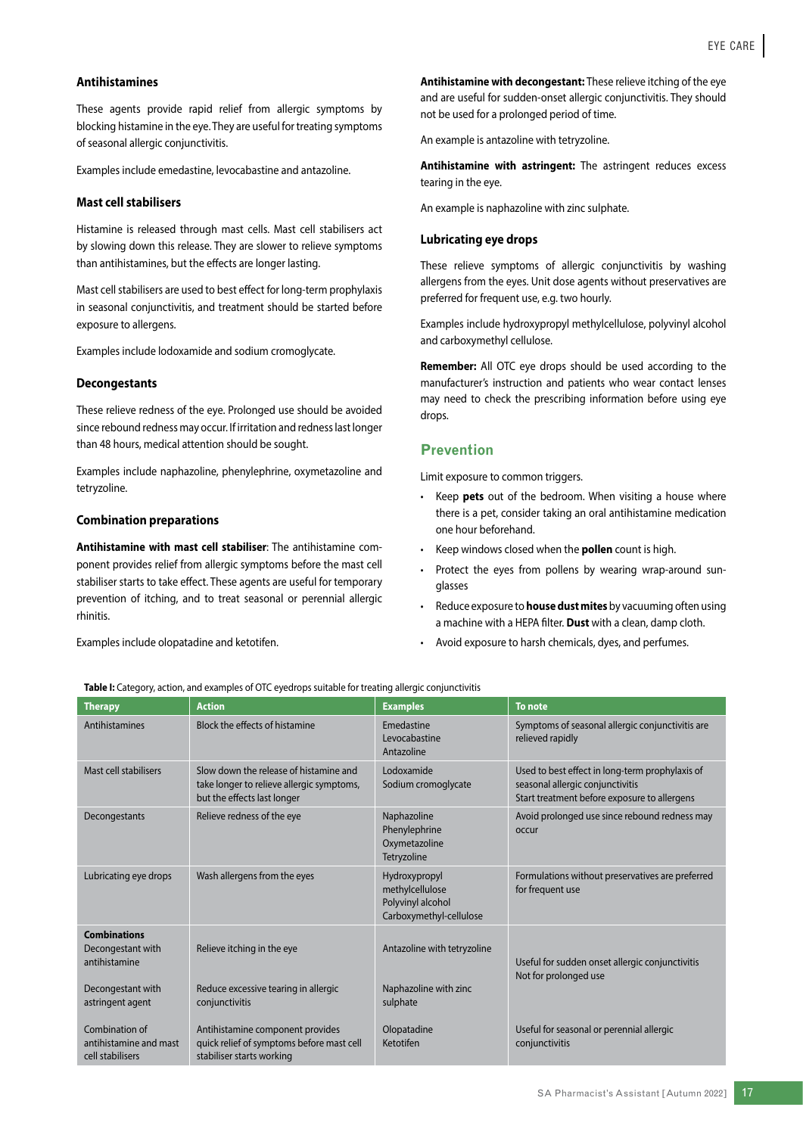#### **Antihistamines**

These agents provide rapid relief from allergic symptoms by blocking histamine in the eye. They are useful for treating symptoms of seasonal allergic conjunctivitis.

Examples include emedastine, levocabastine and antazoline.

#### **Mast cell stabilisers**

Histamine is released through mast cells. Mast cell stabilisers act by slowing down this release. They are slower to relieve symptoms than antihistamines, but the effects are longer lasting.

Mast cell stabilisers are used to best effect for long-term prophylaxis in seasonal conjunctivitis, and treatment should be started before exposure to allergens.

Examples include lodoxamide and sodium cromoglycate.

#### **Decongestants**

These relieve redness of the eye. Prolonged use should be avoided since rebound redness may occur. If irritation and redness last longer than 48 hours, medical attention should be sought.

Examples include naphazoline, phenylephrine, oxymetazoline and tetryzoline.

#### **Combination preparations**

**Antihistamine with mast cell stabiliser**: The antihistamine component provides relief from allergic symptoms before the mast cell stabiliser starts to take effect. These agents are useful for temporary prevention of itching, and to treat seasonal or perennial allergic rhinitis.

Examples include olopatadine and ketotifen.

**Antihistamine with decongestant:** These relieve itching of the eye and are useful for sudden-onset allergic conjunctivitis. They should not be used for a prolonged period of time.

An example is antazoline with tetryzoline.

**Antihistamine with astringent:** The astringent reduces excess tearing in the eye.

An example is naphazoline with zinc sulphate.

#### **Lubricating eye drops**

These relieve symptoms of allergic conjunctivitis by washing allergens from the eyes. Unit dose agents without preservatives are preferred for frequent use, e.g. two hourly.

Examples include hydroxypropyl methylcellulose, polyvinyl alcohol and carboxymethyl cellulose.

**Remember:** All OTC eye drops should be used according to the manufacturer's instruction and patients who wear contact lenses may need to check the prescribing information before using eye drops.

#### **Prevention**

Limit exposure to common triggers.

- Keep **pets** out of the bedroom. When visiting a house where there is a pet, consider taking an oral antihistamine medication one hour beforehand.
- Keep windows closed when the **pollen** count is high.
- Protect the eyes from pollens by wearing wrap-around sunglasses
- Reduce exposure to **house dust mites** by vacuuming often using a machine with a HEPA filter. **Dust** with a clean, damp cloth.
- Avoid exposure to harsh chemicals, dyes, and perfumes.

#### **Table I:** Category, action, and examples of OTC eyedrops suitable for treating allergic conjunctivitis

| <b>Therapy</b>                                               | <b>Action</b>                                                                                                      | <b>Examples</b>                                                                  | <b>To note</b>                                                                                                                      |
|--------------------------------------------------------------|--------------------------------------------------------------------------------------------------------------------|----------------------------------------------------------------------------------|-------------------------------------------------------------------------------------------------------------------------------------|
| Antihistamines                                               | Block the effects of histamine                                                                                     | Emedastine<br>Levocabastine<br>Antazoline                                        | Symptoms of seasonal allergic conjunctivitis are<br>relieved rapidly                                                                |
| Mast cell stabilisers                                        | Slow down the release of histamine and<br>take longer to relieve allergic symptoms,<br>but the effects last longer | Lodoxamide<br>Sodium cromoglycate                                                | Used to best effect in long-term prophylaxis of<br>seasonal allergic conjunctivitis<br>Start treatment before exposure to allergens |
| Decongestants                                                | Relieve redness of the eye                                                                                         | Naphazoline<br>Phenylephrine<br>Oxymetazoline<br>Tetryzoline                     | Avoid prolonged use since rebound redness may<br>occur                                                                              |
| Lubricating eye drops                                        | Wash allergens from the eyes                                                                                       | Hydroxypropyl<br>methylcellulose<br>Polyvinyl alcohol<br>Carboxymethyl-cellulose | Formulations without preservatives are preferred<br>for frequent use                                                                |
| <b>Combinations</b><br>Decongestant with<br>antihistamine    | Relieve itching in the eye                                                                                         | Antazoline with tetryzoline                                                      | Useful for sudden onset allergic conjunctivitis<br>Not for prolonged use                                                            |
| Decongestant with<br>astringent agent                        | Reduce excessive tearing in allergic<br>conjunctivitis                                                             | Naphazoline with zinc<br>sulphate                                                |                                                                                                                                     |
| Combination of<br>antihistamine and mast<br>cell stabilisers | Antihistamine component provides<br>quick relief of symptoms before mast cell<br>stabiliser starts working         | Olopatadine<br>Ketotifen                                                         | Useful for seasonal or perennial allergic<br>conjunctivitis                                                                         |